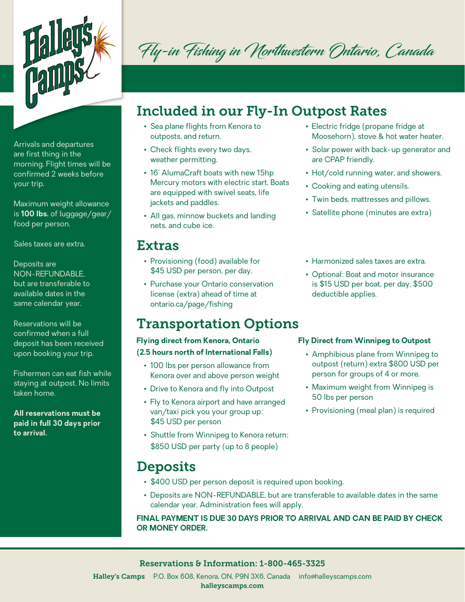

Arrivals and departures are first thing in the morning. Flight times will be confirmed 2 weeks before your trip.

Maximum weight allowance is **100 lbs.** of luggage/gear/ food per person.

Sales taxes are extra.

Deposits are NON-REFUNDABLE, but are transferable to available dates in the same calendar year.

Reservations will be confirmed when a full deposit has been received upon booking your trip.

Fishermen can eat fish while staying at outpost. No limits taken home.

**All reservations must be paid in full 30 days prior to arrival.**

Fly-in Fishing in Northwestern Ontario, Canada

# Included in our Fly-In Outpost Rates

- Sea plane flights from Kenora to outposts, and return.
- Check flights every two days, weather permitting.
- 16' AlumaCraft boats with new 15hp Mercury motors with electric start. Boats are equipped with swivel seats, life jackets and paddles.
- All gas, minnow buckets and landing nets, and cube ice.

## Extras

- Provisioning (food) available for \$45 USD per person, per day.
- Purchase your Ontario conservation license (extra) ahead of time at ontario.ca/page/fishing

## Transportation Options

### **Flying direct from Kenora, Ontario (2.5 hours north of International Falls)**

- 100 lbs per person allowance from Kenora over and above person weight
- Drive to Kenora and fly into Outpost
- Fly to Kenora airport and have arranged van/taxi pick you your group up: \$45 USD per person
- Shuttle from Winnipeg to Kenora return: \$850 USD per party (up to 8 people)

## **Deposits**

- \$400 USD per person deposit is required upon booking.
- Deposits are NON-REFUNDABLE, but are transferable to available dates in the same calendar year. Administration fees will apply.

### **FINAL PAYMENT IS DUE 30 DAYS PRIOR TO ARRIVAL AND CAN BE PAID BY CHECK OR MONEY ORDER.**

### • Electric fridge (propane fridge at Moosehorn), stove & hot water heater.

- Solar power with back-up generator and are CPAP friendly.
- Hot/cold running water, and showers.
- Cooking and eating utensils.
- Twin beds, mattresses and pillows.
- Satellite phone (minutes are extra)
- Harmonized sales taxes are extra.
- Optional: Boat and motor insurance is \$15 USD per boat, per day. \$500 deductible applies.

### **Fly Direct from Winnipeg to Outpost**

- Amphibious plane from Winnipeg to outpost (return) extra \$800 USD per person for groups of 4 or more.
- Maximum weight from Winnipeg is 50 lbs per person
- Provisioning (meal plan) is required